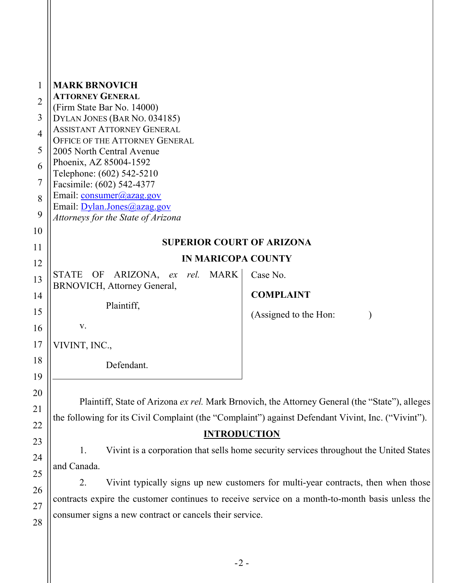| <b>MARK BRNOVICH</b><br><b>ATTORNEY GENERAL</b><br>(Firm State Bar No. 14000)<br>DYLAN JONES (BAR No. 034185)<br><b>ASSISTANT ATTORNEY GENERAL</b><br>OFFICE OF THE ATTORNEY GENERAL<br>2005 North Central Avenue<br>Phoenix, AZ 85004-1592<br>Telephone: (602) 542-5210<br>Facsimile: (602) 542-4377<br>Email: consumer@azag.gov<br>Email: Dylan.Jones@azag.gov<br>Attorneys for the State of Arizona                                                                                                                                                                                                                                                    |                             |                                                           |
|-----------------------------------------------------------------------------------------------------------------------------------------------------------------------------------------------------------------------------------------------------------------------------------------------------------------------------------------------------------------------------------------------------------------------------------------------------------------------------------------------------------------------------------------------------------------------------------------------------------------------------------------------------------|-----------------------------|-----------------------------------------------------------|
|                                                                                                                                                                                                                                                                                                                                                                                                                                                                                                                                                                                                                                                           |                             |                                                           |
| 11<br><b>IN MARICOPA COUNTY</b><br>12                                                                                                                                                                                                                                                                                                                                                                                                                                                                                                                                                                                                                     |                             |                                                           |
| ex rel. MARK<br>ARIZONA,<br>STATE OF                                                                                                                                                                                                                                                                                                                                                                                                                                                                                                                                                                                                                      | Case No.                    |                                                           |
|                                                                                                                                                                                                                                                                                                                                                                                                                                                                                                                                                                                                                                                           | <b>COMPLAINT</b>            |                                                           |
| Plaintiff,                                                                                                                                                                                                                                                                                                                                                                                                                                                                                                                                                                                                                                                |                             |                                                           |
| V.                                                                                                                                                                                                                                                                                                                                                                                                                                                                                                                                                                                                                                                        |                             |                                                           |
| VIVINT, INC.,                                                                                                                                                                                                                                                                                                                                                                                                                                                                                                                                                                                                                                             |                             |                                                           |
| Defendant.                                                                                                                                                                                                                                                                                                                                                                                                                                                                                                                                                                                                                                                |                             |                                                           |
| 20<br>Plaintiff, State of Arizona ex rel. Mark Brnovich, the Attorney General (the "State"), alleges<br>21<br>the following for its Civil Complaint (the "Complaint") against Defendant Vivint, Inc. ("Vivint").<br>22<br><b>INTRODUCTION</b><br>23<br>Vivint is a corporation that sells home security services throughout the United States<br>1.<br>24<br>and Canada.<br>25<br>Vivint typically signs up new customers for multi-year contracts, then when those<br>2.<br>26<br>contracts expire the customer continues to receive service on a month-to-month basis unless the<br>27<br>consumer signs a new contract or cancels their service.<br>28 |                             |                                                           |
|                                                                                                                                                                                                                                                                                                                                                                                                                                                                                                                                                                                                                                                           | BRNOVICH, Attorney General, | <b>SUPERIOR COURT OF ARIZONA</b><br>(Assigned to the Hon: |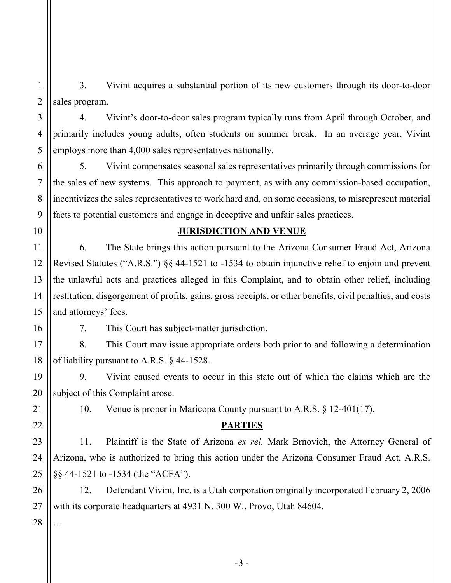3. Vivint acquires a substantial portion of its new customers through its door-to-door sales program.

4. Vivint's door-to-door sales program typically runs from April through October, and primarily includes young adults, often students on summer break. In an average year, Vivint employs more than 4,000 sales representatives nationally.

5. Vivint compensates seasonal sales representatives primarily through commissions for the sales of new systems. This approach to payment, as with any commission-based occupation, incentivizes the sales representatives to work hard and, on some occasions, to misrepresent material facts to potential customers and engage in deceptive and unfair sales practices.

#### 10

1

2

3

4

5

6

7

8

9

11

12

13

14

15

16

19

20

21

22

23

24

25

26

27

## JURISDICTION AND VENUE

6. The State brings this action pursuant to the Arizona Consumer Fraud Act, Arizona Revised Statutes ("A.R.S.") §§ 44-1521 to -1534 to obtain injunctive relief to enjoin and prevent the unlawful acts and practices alleged in this Complaint, and to obtain other relief, including restitution, disgorgement of profits, gains, gross receipts, or other benefits, civil penalties, and costs and attorneys' fees.

7. This Court has subject-matter jurisdiction.

17 18 8. This Court may issue appropriate orders both prior to and following a determination of liability pursuant to A.R.S. § 44-1528.

9. Vivint caused events to occur in this state out of which the claims which are the subject of this Complaint arose.

10. Venue is proper in Maricopa County pursuant to A.R.S. § 12-401(17).

### PARTIES

11. Plaintiff is the State of Arizona ex rel. Mark Brnovich, the Attorney General of Arizona, who is authorized to bring this action under the Arizona Consumer Fraud Act, A.R.S. §§ 44-1521 to -1534 (the "ACFA").

12. Defendant Vivint, Inc. is a Utah corporation originally incorporated February 2, 2006 with its corporate headquarters at 4931 N. 300 W., Provo, Utah 84604.

28 …

-3 -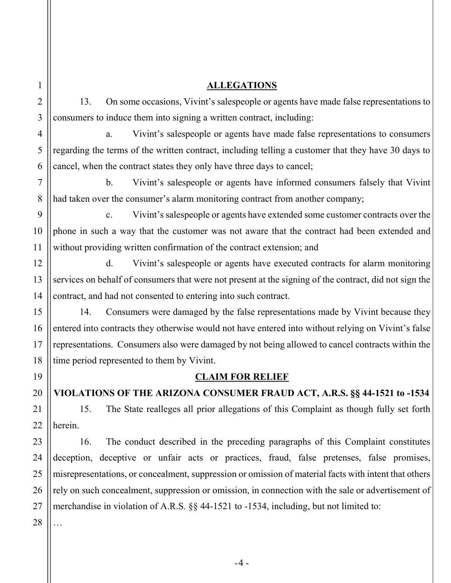1

2

3

4

5

6

7

8

9

14

15

16

17

18

19

20

21

22

23

24

25

26

27

### ALLEGATIONS

13. On some occasions, Vivint's salespeople or agents have made false representations to consumers to induce them into signing a written contract, including:

a. Vivint's salespeople or agents have made false representations to consumers regarding the terms of the written contract, including telling a customer that they have 30 days to cancel, when the contract states they only have three days to cancel;

b. Vivint's salespeople or agents have informed consumers falsely that Vivint had taken over the consumer's alarm monitoring contract from another company;

c. Vivint's salespeople or agents have extended some customer contracts over the phone in such a way that the customer was not aware that the contract had been extended and without providing written confirmation of the contract extension; and

d. Vivint's salespeople or agents have executed contracts for alarm monitoring services on behalf of consumers that were not present at the signing of the contract, did not sign the contract, and had not consented to entering into such contract.

14. Consumers were damaged by the false representations made by Vivint because they entered into contracts they otherwise would not have entered into without relying on Vivint's false representations. Consumers also were damaged by not being allowed to cancel contracts within the time period represented to them by Vivint.

## CLAIM FOR RELIEF

VIOLATIONS OF THE ARIZONA CONSUMER FRAUD ACT, A.R.S. §§ 44-1521 to -1534

15. The State realleges all prior allegations of this Complaint as though fully set forth herein.

16. The conduct described in the preceding paragraphs of this Complaint constitutes deception, deceptive or unfair acts or practices, fraud, false pretenses, false promises, misrepresentations, or concealment, suppression or omission of material facts with intent that others rely on such concealment, suppression or omission, in connection with the sale or advertisement of merchandise in violation of A.R.S. §§ 44-1521 to -1534, including, but not limited to:

28

…

 $-4 -$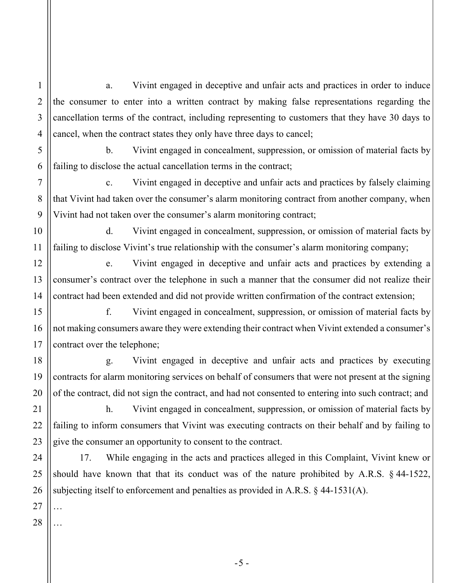a. Vivint engaged in deceptive and unfair acts and practices in order to induce the consumer to enter into a written contract by making false representations regarding the cancellation terms of the contract, including representing to customers that they have 30 days to cancel, when the contract states they only have three days to cancel;

b. Vivint engaged in concealment, suppression, or omission of material facts by failing to disclose the actual cancellation terms in the contract;

c. Vivint engaged in deceptive and unfair acts and practices by falsely claiming that Vivint had taken over the consumer's alarm monitoring contract from another company, when Vivint had not taken over the consumer's alarm monitoring contract;

d. Vivint engaged in concealment, suppression, or omission of material facts by failing to disclose Vivint's true relationship with the consumer's alarm monitoring company;

e. Vivint engaged in deceptive and unfair acts and practices by extending a consumer's contract over the telephone in such a manner that the consumer did not realize their contract had been extended and did not provide written confirmation of the contract extension;

f. Vivint engaged in concealment, suppression, or omission of material facts by not making consumers aware they were extending their contract when Vivint extended a consumer's contract over the telephone;

g. Vivint engaged in deceptive and unfair acts and practices by executing contracts for alarm monitoring services on behalf of consumers that were not present at the signing of the contract, did not sign the contract, and had not consented to entering into such contract; and

h. Vivint engaged in concealment, suppression, or omission of material facts by failing to inform consumers that Vivint was executing contracts on their behalf and by failing to give the consumer an opportunity to consent to the contract.

17. While engaging in the acts and practices alleged in this Complaint, Vivint knew or should have known that that its conduct was of the nature prohibited by A.R.S. § 44-1522, subjecting itself to enforcement and penalties as provided in A.R.S. § 44-1531(A).

1

2

3

4

5

6

7

8

9

10

11

12

13

14

15

16

17

18

19

20

21

28 …

…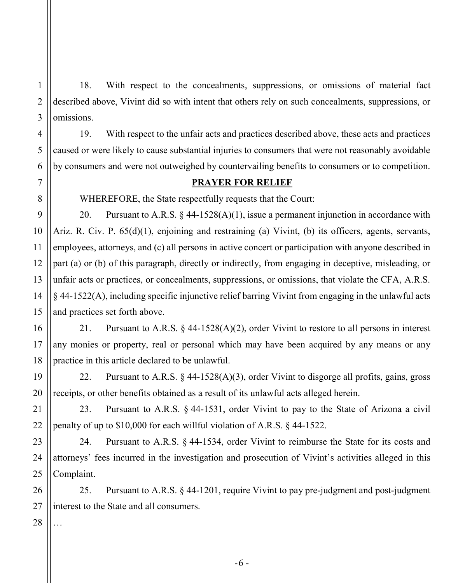1 2 18. With respect to the concealments, suppressions, or omissions of material fact described above, Vivint did so with intent that others rely on such concealments, suppressions, or omissions.

19. With respect to the unfair acts and practices described above, these acts and practices caused or were likely to cause substantial injuries to consumers that were not reasonably avoidable by consumers and were not outweighed by countervailing benefits to consumers or to competition.

# PRAYER FOR RELIEF

WHEREFORE, the State respectfully requests that the Court:

20. Pursuant to A.R.S.  $\S$  44-1528(A)(1), issue a permanent injunction in accordance with Ariz. R. Civ. P. 65(d)(1), enjoining and restraining (a) Vivint, (b) its officers, agents, servants, employees, attorneys, and (c) all persons in active concert or participation with anyone described in part (a) or (b) of this paragraph, directly or indirectly, from engaging in deceptive, misleading, or unfair acts or practices, or concealments, suppressions, or omissions, that violate the CFA, A.R.S. § 44-1522(A), including specific injunctive relief barring Vivint from engaging in the unlawful acts and practices set forth above.

21. Pursuant to A.R.S. § 44-1528(A)(2), order Vivint to restore to all persons in interest any monies or property, real or personal which may have been acquired by any means or any practice in this article declared to be unlawful.

22. Pursuant to A.R.S. § 44-1528(A)(3), order Vivint to disgorge all profits, gains, gross receipts, or other benefits obtained as a result of its unlawful acts alleged herein.

23. Pursuant to A.R.S. § 44-1531, order Vivint to pay to the State of Arizona a civil penalty of up to \$10,000 for each willful violation of A.R.S. § 44-1522.

24. Pursuant to A.R.S. § 44-1534, order Vivint to reimburse the State for its costs and attorneys' fees incurred in the investigation and prosecution of Vivint's activities alleged in this Complaint.

25. Pursuant to A.R.S. § 44-1201, require Vivint to pay pre-judgment and post-judgment interest to the State and all consumers.

…